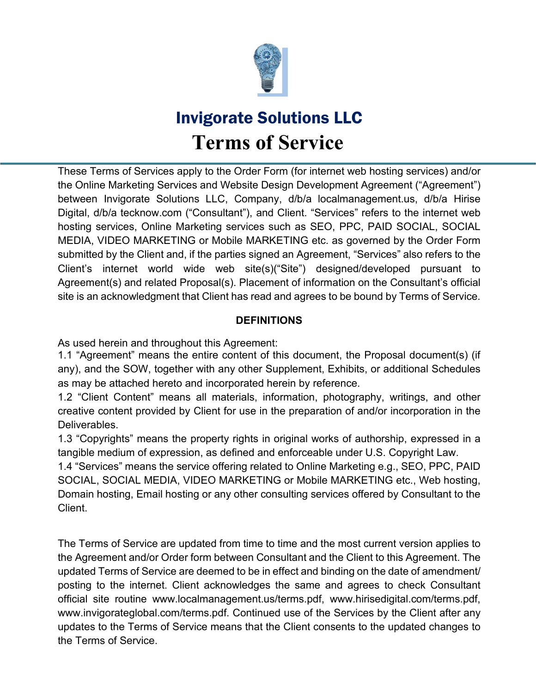

These Terms of Services apply to the Order Form (for internet web hosting services) and/or the Online Marketing Services and Website Design Development Agreement ("Agreement") between Invigorate Solutions LLC, Company, d/b/a localmanagement.us, d/b/a Hirise Digital, d/b/a tecknow.com ("Consultant"), and Client. "Services" refers to the internet web hosting services, Online Marketing services such as SEO, PPC, PAID SOCIAL, SOCIAL MEDIA, VIDEO MARKETING or Mobile MARKETING etc. as governed by the Order Form submitted by the Client and, if the parties signed an Agreement, "Services" also refers to the Client's internet world wide web site(s)("Site") designed/developed pursuant to Agreement(s) and related Proposal(s). Placement of information on the Consultant's official site is an acknowledgment that Client has read and agrees to be bound by Terms of Service.

#### **DEFINITIONS**

As used herein and throughout this Agreement:

1.1 "Agreement" means the entire content of this document, the Proposal document(s) (if any), and the SOW, together with any other Supplement, Exhibits, or additional Schedules as may be attached hereto and incorporated herein by reference.

1.2 "Client Content" means all materials, information, photography, writings, and other creative content provided by Client for use in the preparation of and/or incorporation in the Deliverables.

1.3 "Copyrights" means the property rights in original works of authorship, expressed in a tangible medium of expression, as defined and enforceable under U.S. Copyright Law.

1.4 "Services" means the service offering related to Online Marketing e.g., SEO, PPC, PAID SOCIAL, SOCIAL MEDIA, VIDEO MARKETING or Mobile MARKETING etc., Web hosting, Domain hosting, Email hosting or any other consulting services offered by Consultant to the Client.

The Terms of Service are updated from time to time and the most current version applies to the Agreement and/or Order form between Consultant and the Client to this Agreement. The updated Terms of Service are deemed to be in effect and binding on the date of amendment/ posting to the internet. Client acknowledges the same and agrees to check Consultant official site routine [www.localmanagement.us/terms.pdf,](http://www.localmanagement.us/terms.pdf) [www.hirisedigital.com/terms.pdf,](http://www.hirisedigital.com/terms.pdf) [www.invigorateglobal.com/terms.pdf.](http://www.invigorateglobal.com/terms.pdf) Continued use of the Services by the Client after any updates to the Terms of Service means that the Client consents to the updated changes to the Terms of Service.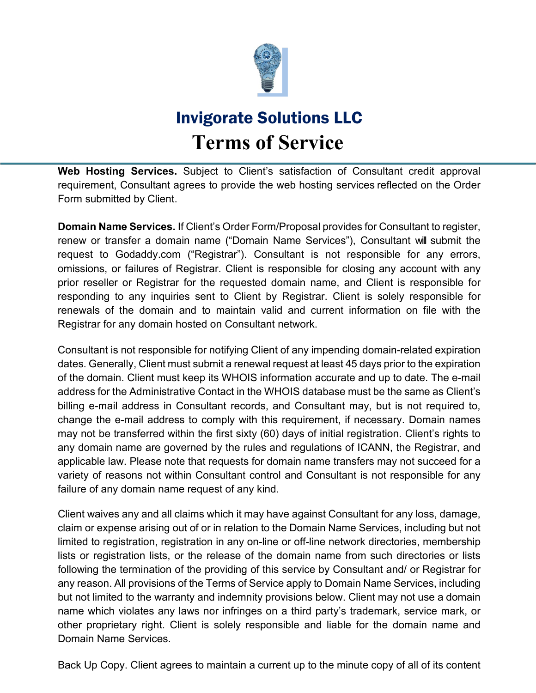

**Web Hosting Services.** Subject to Client's satisfaction of Consultant credit approval requirement, Consultant agrees to provide the web hosting services reflected on the Order Form submitted by Client.

**Domain Name Services.** If Client's Order Form/Proposal provides for Consultant to register, renew or transfer a domain name ("Domain Name Services"), Consultant will submit the request to Godaddy.com ("Registrar"). Consultant is not responsible for any errors, omissions, or failures of Registrar. Client is responsible for closing any account with any prior reseller or Registrar for the requested domain name, and Client is responsible for responding to any inquiries sent to Client by Registrar. Client is solely responsible for renewals of the domain and to maintain valid and current information on file with the Registrar for any domain hosted on Consultant network.

Consultant is not responsible for notifying Client of any impending domain-related expiration dates. Generally, Client must submit a renewal request at least 45 days prior to the expiration of the domain. Client must keep its WHOIS information accurate and up to date. The e-mail address for the Administrative Contact in the WHOIS database must be the same as Client's billing e-mail address in Consultant records, and Consultant may, but is not required to, change the e-mail address to comply with this requirement, if necessary. Domain names may not be transferred within the first sixty (60) days of initial registration. Client's rights to any domain name are governed by the rules and regulations of ICANN, the Registrar, and applicable law. Please note that requests for domain name transfers may not succeed for a variety of reasons not within Consultant control and Consultant is not responsible for any failure of any domain name request of any kind.

Client waives any and all claims which it may have against Consultant for any loss, damage, claim or expense arising out of or in relation to the Domain Name Services, including but not limited to registration, registration in any on-line or off-line network directories, membership lists or registration lists, or the release of the domain name from such directories or lists following the termination of the providing of this service by Consultant and/ or Registrar for any reason. All provisions of the Terms of Service apply to Domain Name Services, including but not limited to the warranty and indemnity provisions below. Client may not use a domain name which violates any laws nor infringes on a third party's trademark, service mark, or other proprietary right. Client is solely responsible and liable for the domain name and Domain Name Services.

Back Up Copy. Client agrees to maintain a current up to the minute copy of all of its content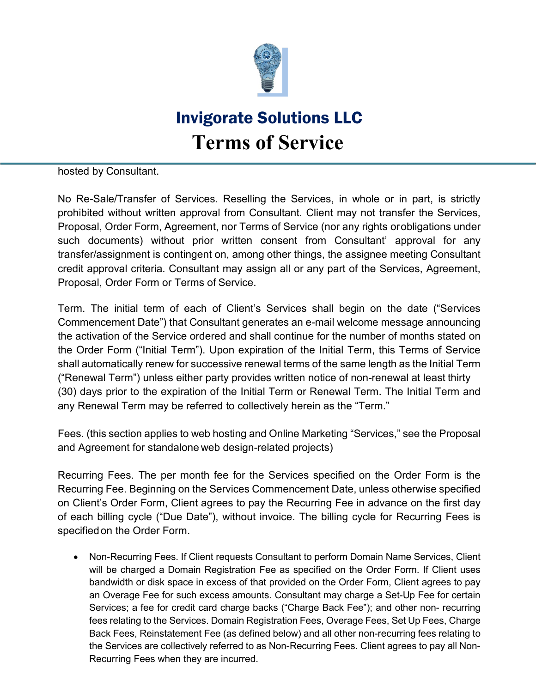

hosted by Consultant.

No Re-Sale/Transfer of Services. Reselling the Services, in whole or in part, is strictly prohibited without written approval from Consultant. Client may not transfer the Services, Proposal, Order Form, Agreement, nor Terms of Service (nor any rights orobligations under such documents) without prior written consent from Consultant' approval for any transfer/assignment is contingent on, among other things, the assignee meeting Consultant credit approval criteria. Consultant may assign all or any part of the Services, Agreement, Proposal, Order Form or Terms of Service.

Term. The initial term of each of Client's Services shall begin on the date ("Services Commencement Date") that Consultant generates an e-mail welcome message announcing the activation of the Service ordered and shall continue for the number of months stated on the Order Form ("Initial Term"). Upon expiration of the Initial Term, this Terms of Service shall automatically renew for successive renewal terms of the same length as the Initial Term ("Renewal Term") unless either party provides written notice of non-renewal at least thirty (30) days prior to the expiration of the Initial Term or Renewal Term. The Initial Term and any Renewal Term may be referred to collectively herein as the "Term."

Fees. (this section applies to web hosting and Online Marketing "Services," see the Proposal and Agreement for standalone web design-related projects)

Recurring Fees. The per month fee for the Services specified on the Order Form is the Recurring Fee. Beginning on the Services Commencement Date, unless otherwise specified on Client's Order Form, Client agrees to pay the Recurring Fee in advance on the first day of each billing cycle ("Due Date"), without invoice. The billing cycle for Recurring Fees is specifiedon the Order Form.

• Non-Recurring Fees. If Client requests Consultant to perform Domain Name Services, Client will be charged a Domain Registration Fee as specified on the Order Form. If Client uses bandwidth or disk space in excess of that provided on the Order Form, Client agrees to pay an Overage Fee for such excess amounts. Consultant may charge a Set-Up Fee for certain Services; a fee for credit card charge backs ("Charge Back Fee"); and other non- recurring fees relating to the Services. Domain Registration Fees, Overage Fees, Set Up Fees, Charge Back Fees, Reinstatement Fee (as defined below) and all other non-recurring fees relating to the Services are collectively referred to as Non-Recurring Fees. Client agrees to pay all Non-Recurring Fees when they are incurred.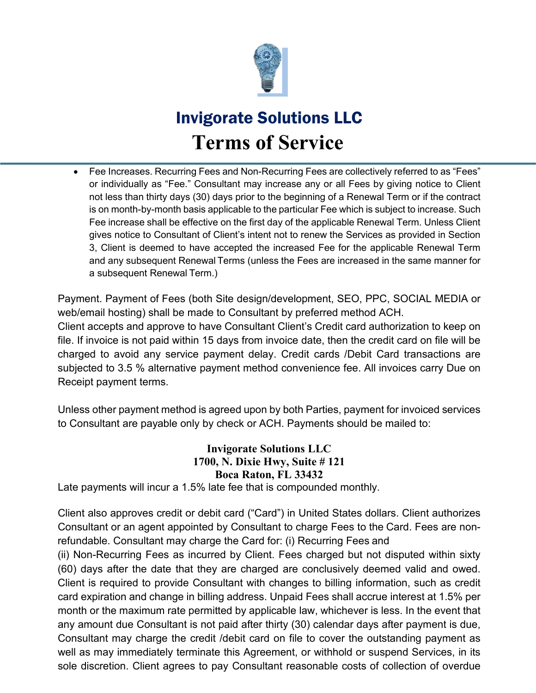

• Fee Increases. Recurring Fees and Non-Recurring Fees are collectively referred to as "Fees" or individually as "Fee." Consultant may increase any or all Fees by giving notice to Client not less than thirty days (30) days prior to the beginning of a Renewal Term or if the contract is on month-by-month basis applicable to the particular Fee which is subject to increase. Such Fee increase shall be effective on the first day of the applicable Renewal Term. Unless Client gives notice to Consultant of Client's intent not to renew the Services as provided in Section 3, Client is deemed to have accepted the increased Fee for the applicable Renewal Term and any subsequent Renewal Terms (unless the Fees are increased in the same manner for a subsequent Renewal Term.)

Payment. Payment of Fees (both Site design/development, SEO, PPC, SOCIAL MEDIA or web/email hosting) shall be made to Consultant by preferred method ACH.

Client accepts and approve to have Consultant Client's Credit card authorization to keep on file. If invoice is not paid within 15 days from invoice date, then the credit card on file will be charged to avoid any service payment delay. Credit cards /Debit Card transactions are subjected to 3.5 % alternative payment method convenience fee. All invoices carry Due on Receipt payment terms.

Unless other payment method is agreed upon by both Parties, payment for invoiced services to Consultant are payable only by check or ACH. Payments should be mailed to:

#### **Invigorate Solutions LLC 1700, N. Dixie Hwy, Suite # 121 Boca Raton, FL 33432**

Late payments will incur a 1.5% late fee that is compounded monthly.

Client also approves credit or debit card ("Card") in United States dollars. Client authorizes Consultant or an agent appointed by Consultant to charge Fees to the Card. Fees are nonrefundable. Consultant may charge the Card for: (i) Recurring Fees and

(ii) Non-Recurring Fees as incurred by Client. Fees charged but not disputed within sixty (60) days after the date that they are charged are conclusively deemed valid and owed. Client is required to provide Consultant with changes to billing information, such as credit card expiration and change in billing address. Unpaid Fees shall accrue interest at 1.5% per month or the maximum rate permitted by applicable law, whichever is less. In the event that any amount due Consultant is not paid after thirty (30) calendar days after payment is due, Consultant may charge the credit /debit card on file to cover the outstanding payment as well as may immediately terminate this Agreement, or withhold or suspend Services, in its sole discretion. Client agrees to pay Consultant reasonable costs of collection of overdue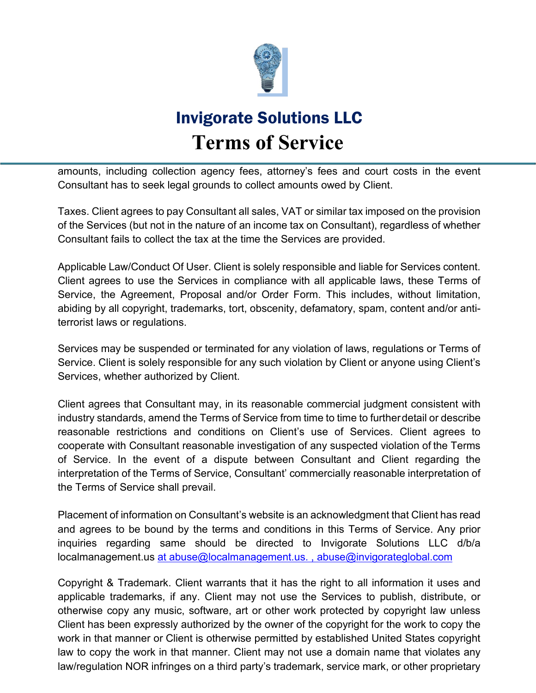

amounts, including collection agency fees, attorney's fees and court costs in the event Consultant has to seek legal grounds to collect amounts owed by Client.

Taxes. Client agrees to pay Consultant all sales, VAT or similar tax imposed on the provision of the Services (but not in the nature of an income tax on Consultant), regardless of whether Consultant fails to collect the tax at the time the Services are provided.

Applicable Law/Conduct Of User. Client is solely responsible and liable for Services content. Client agrees to use the Services in compliance with all applicable laws, these Terms of Service, the Agreement, Proposal and/or Order Form. This includes, without limitation, abiding by all copyright, trademarks, tort, obscenity, defamatory, spam, content and/or antiterrorist laws or regulations.

Services may be suspended or terminated for any violation of laws, regulations or Terms of Service. Client is solely responsible for any such violation by Client or anyone using Client's Services, whether authorized by Client.

Client agrees that Consultant may, in its reasonable commercial judgment consistent with industry standards, amend the Terms of Service from time to time to furtherdetail or describe reasonable restrictions and conditions on Client's use of Services. Client agrees to cooperate with Consultant reasonable investigation of any suspected violation of the Terms of Service. In the event of a dispute between Consultant and Client regarding the interpretation of the Terms of Service, Consultant' commercially reasonable interpretation of the Terms of Service shall prevail.

Placement of information on Consultant's website is an acknowledgment that Client has read and agrees to be bound by the terms and conditions in this Terms of Service. Any prior inquiries regarding same should be directed to Invigorate Solutions LLC d/b/a localmanagement.us at [abuse@localmanagement.us.](mailto:at%20abuse@localmanagement.us.), abuse@invigorateglobal.com

Copyright & Trademark. Client warrants that it has the right to all information it uses and applicable trademarks, if any. Client may not use the Services to publish, distribute, or otherwise copy any music, software, art or other work protected by copyright law unless Client has been expressly authorized by the owner of the copyright for the work to copy the work in that manner or Client is otherwise permitted by established United States copyright law to copy the work in that manner. Client may not use a domain name that violates any law/regulation NOR infringes on a third party's trademark, service mark, or other proprietary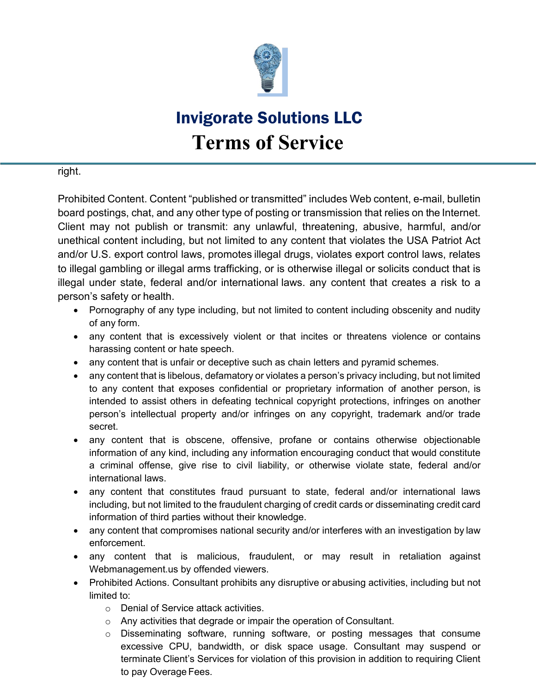

right.

Prohibited Content. Content "published or transmitted" includes Web content, e-mail, bulletin board postings, chat, and any other type of posting or transmission that relies on the Internet. Client may not publish or transmit: any unlawful, threatening, abusive, harmful, and/or unethical content including, but not limited to any content that violates the USA Patriot Act and/or U.S. export control laws, promotes illegal drugs, violates export control laws, relates to illegal gambling or illegal arms trafficking, or is otherwise illegal or solicits conduct that is illegal under state, federal and/or international laws. any content that creates a risk to a person's safety or health.

- Pornography of any type including, but not limited to content including obscenity and nudity of any form.
- any content that is excessively violent or that incites or threatens violence or contains harassing content or hate speech.
- any content that is unfair or deceptive such as chain letters and pyramid schemes.
- any content that is libelous, defamatory or violates a person's privacy including, but not limited to any content that exposes confidential or proprietary information of another person, is intended to assist others in defeating technical copyright protections, infringes on another person's intellectual property and/or infringes on any copyright, trademark and/or trade secret.
- any content that is obscene, offensive, profane or contains otherwise objectionable information of any kind, including any information encouraging conduct that would constitute a criminal offense, give rise to civil liability, or otherwise violate state, federal and/or international laws.
- any content that constitutes fraud pursuant to state, federal and/or international laws including, but not limited to the fraudulent charging of credit cards or disseminating credit card information of third parties without their knowledge.
- any content that compromises national security and/or interferes with an investigation by law enforcement.
- any content that is malicious, fraudulent, or may result in retaliation against Webmanagement.us by offended viewers.
- Prohibited Actions. Consultant prohibits any disruptive or abusing activities, including but not limited to:
	- o Denial of Service attack activities.
	- o Any activities that degrade or impair the operation of Consultant.
	- $\circ$  Disseminating software, running software, or posting messages that consume excessive CPU, bandwidth, or disk space usage. Consultant may suspend or terminate Client's Services for violation of this provision in addition to requiring Client to pay Overage Fees.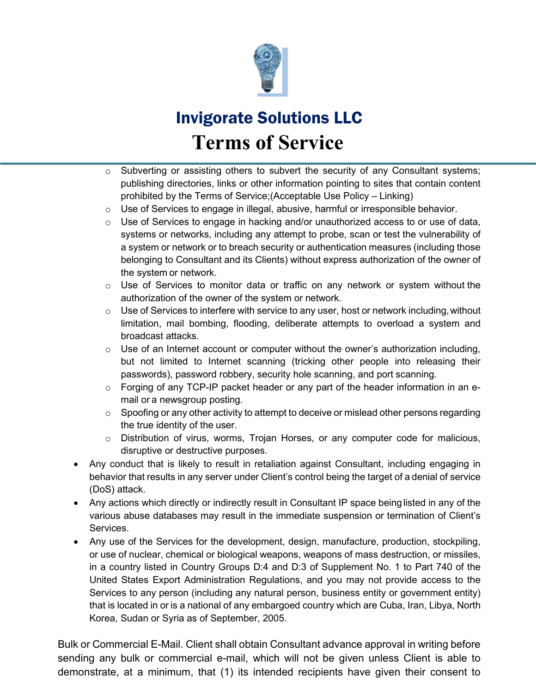

- $\circ$  Subverting or assisting others to subvert the security of any Consultant systems; publishing directories, links or other information pointing to sites that contain content prohibited by the Terms of Service;(Acceptable Use Policy – Linking)
- $\circ$  Use of Services to engage in illegal, abusive, harmful or irresponsible behavior.
- $\circ$  Use of Services to engage in hacking and/or unauthorized access to or use of data, systems or networks, including any attempt to probe, scan or test the vulnerability of a system or network or to breach security or authentication measures (including those belonging to Consultant and its Clients) without express authorization of the owner of the system or network.
- $\circ$  Use of Services to monitor data or traffic on any network or system without the authorization of the owner of the system or network.
- $\circ$  Use of Services to interfere with service to any user, host or network including, without limitation, mail bombing, flooding, deliberate attempts to overload a system and broadcast attacks.
- $\circ$  Use of an Internet account or computer without the owner's authorization including, but not limited to Internet scanning (tricking other people into releasing their passwords), password robbery, security hole scanning, and port scanning.
- $\circ$  Forging of any TCP-IP packet header or any part of the header information in an email or a newsgroup posting.
- $\circ$  Spoofing or any other activity to attempt to deceive or mislead other persons regarding the true identity of the user.
- o Distribution of virus, worms, Trojan Horses, or any computer code for malicious, disruptive or destructive purposes.
- Any conduct that is likely to result in retaliation against Consultant, including engaging in behavior that results in any server under Client's control being the target of a denial of service (DoS) attack.
- Any actions which directly or indirectly result in Consultant IP space being listed in any of the various abuse databases may result in the immediate suspension or termination of Client's Services.
- Any use of the Services for the development, design, manufacture, production, stockpiling, or use of nuclear, chemical or biological weapons, weapons of mass destruction, or missiles, in a country listed in Country Groups D:4 and D:3 of Supplement No. 1 to Part 740 of the United States Export Administration Regulations, and you may not provide access to the Services to any person (including any natural person, business entity or government entity) that is located in or is a national of any embargoed country which are Cuba, Iran, Libya, North Korea, Sudan or Syria as of September, 2005.

Bulk or Commercial E-Mail. Client shall obtain Consultant advance approval in writing before sending any bulk or commercial e-mail, which will not be given unless Client is able to demonstrate, at a minimum, that (1) its intended recipients have given their consent to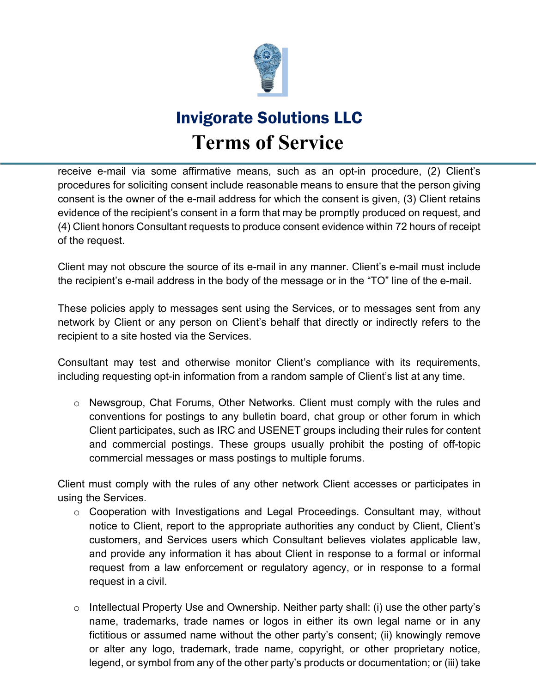

receive e-mail via some affirmative means, such as an opt-in procedure, (2) Client's procedures for soliciting consent include reasonable means to ensure that the person giving consent is the owner of the e-mail address for which the consent is given, (3) Client retains evidence of the recipient's consent in a form that may be promptly produced on request, and (4) Client honors Consultant requests to produce consent evidence within 72 hours of receipt of the request.

Client may not obscure the source of its e-mail in any manner. Client's e-mail must include the recipient's e-mail address in the body of the message or in the "TO" line of the e-mail.

These policies apply to messages sent using the Services, or to messages sent from any network by Client or any person on Client's behalf that directly or indirectly refers to the recipient to a site hosted via the Services.

Consultant may test and otherwise monitor Client's compliance with its requirements, including requesting opt-in information from a random sample of Client's list at any time.

o Newsgroup, Chat Forums, Other Networks. Client must comply with the rules and conventions for postings to any bulletin board, chat group or other forum in which Client participates, such as IRC and USENET groups including their rules for content and commercial postings. These groups usually prohibit the posting of off-topic commercial messages or mass postings to multiple forums.

Client must comply with the rules of any other network Client accesses or participates in using the Services.

- o Cooperation with Investigations and Legal Proceedings. Consultant may, without notice to Client, report to the appropriate authorities any conduct by Client, Client's customers, and Services users which Consultant believes violates applicable law, and provide any information it has about Client in response to a formal or informal request from a law enforcement or regulatory agency, or in response to a formal request in a civil.
- $\circ$  Intellectual Property Use and Ownership. Neither party shall: (i) use the other party's name, trademarks, trade names or logos in either its own legal name or in any fictitious or assumed name without the other party's consent; (ii) knowingly remove or alter any logo, trademark, trade name, copyright, or other proprietary notice, legend, or symbol from any of the other party's products or documentation; or (iii) take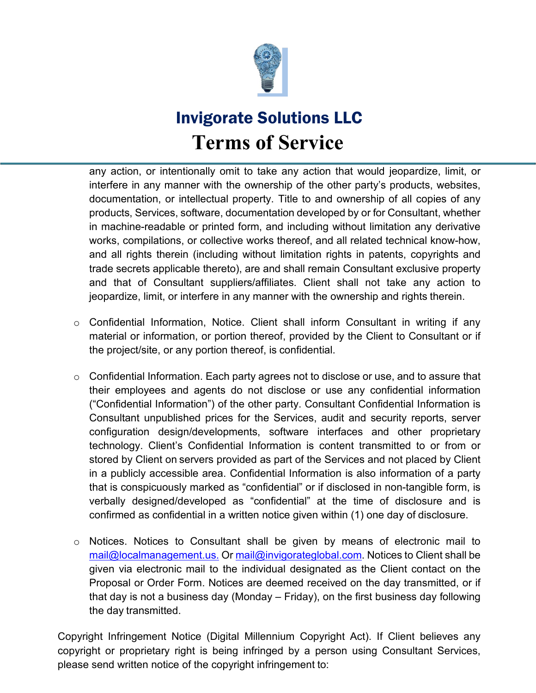

any action, or intentionally omit to take any action that would jeopardize, limit, or interfere in any manner with the ownership of the other party's products, websites, documentation, or intellectual property. Title to and ownership of all copies of any products, Services, software, documentation developed by or for Consultant, whether in machine-readable or printed form, and including without limitation any derivative works, compilations, or collective works thereof, and all related technical know-how, and all rights therein (including without limitation rights in patents, copyrights and trade secrets applicable thereto), are and shall remain Consultant exclusive property and that of Consultant suppliers/affiliates. Client shall not take any action to jeopardize, limit, or interfere in any manner with the ownership and rights therein.

- o Confidential Information, Notice. Client shall inform Consultant in writing if any material or information, or portion thereof, provided by the Client to Consultant or if the project/site, or any portion thereof, is confidential.
- $\circ$  Confidential Information. Each party agrees not to disclose or use, and to assure that their employees and agents do not disclose or use any confidential information ("Confidential Information") of the other party. Consultant Confidential Information is Consultant unpublished prices for the Services, audit and security reports, server configuration design/developments, software interfaces and other proprietary technology. Client's Confidential Information is content transmitted to or from or stored by Client on servers provided as part of the Services and not placed by Client in a publicly accessible area. Confidential Information is also information of a party that is conspicuously marked as "confidential" or if disclosed in non-tangible form, is verbally designed/developed as "confidential" at the time of disclosure and is confirmed as confidential in a written notice given within (1) one day of disclosure.
- o Notices. Notices to Consultant shall be given by means of electronic mail to [mail@localmanagement.us.](mailto:mail@localmanagement.us.) Or [mail@invigorateglobal.com.](mailto:mail@invigorateglobal.com) Notices to Client shall be given via electronic mail to the individual designated as the Client contact on the Proposal or Order Form. Notices are deemed received on the day transmitted, or if that day is not a business day (Monday – Friday), on the first business day following the day transmitted.

Copyright Infringement Notice (Digital Millennium Copyright Act). If Client believes any copyright or proprietary right is being infringed by a person using Consultant Services, please send written notice of the copyright infringement to: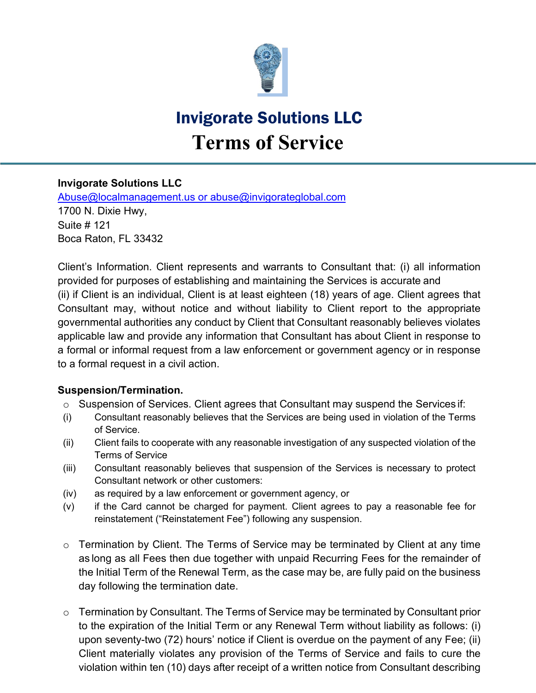

#### **Invigorate Solutions LLC**

[Abuse@localmanagement.us](mailto:Abuse@localmanagement.us) or abuse@invigorateglobal.com 1700 N. Dixie Hwy, Suite # 121 Boca Raton, FL 33432

Client's Information. Client represents and warrants to Consultant that: (i) all information provided for purposes of establishing and maintaining the Services is accurate and (ii) if Client is an individual, Client is at least eighteen (18) years of age. Client agrees that Consultant may, without notice and without liability to Client report to the appropriate governmental authorities any conduct by Client that Consultant reasonably believes violates applicable law and provide any information that Consultant has about Client in response to a formal or informal request from a law enforcement or government agency or in response to a formal request in a civil action.

#### **Suspension/Termination.**

- o Suspension of Services. Client agrees that Consultant may suspend the Services if:
- (i) Consultant reasonably believes that the Services are being used in violation of the Terms of Service.
- (ii) Client fails to cooperate with any reasonable investigation of any suspected violation of the Terms of Service
- (iii) Consultant reasonably believes that suspension of the Services is necessary to protect Consultant network or other customers:
- (iv) as required by a law enforcement or government agency, or
- (v) if the Card cannot be charged for payment. Client agrees to pay a reasonable fee for reinstatement ("Reinstatement Fee") following any suspension.
- $\circ$  Termination by Client. The Terms of Service may be terminated by Client at any time as long as all Fees then due together with unpaid Recurring Fees for the remainder of the Initial Term of the Renewal Term, as the case may be, are fully paid on the business day following the termination date.
- $\circ$  Termination by Consultant. The Terms of Service may be terminated by Consultant prior to the expiration of the Initial Term or any Renewal Term without liability as follows: (i) upon seventy-two (72) hours' notice if Client is overdue on the payment of any Fee; (ii) Client materially violates any provision of the Terms of Service and fails to cure the violation within ten (10) days after receipt of a written notice from Consultant describing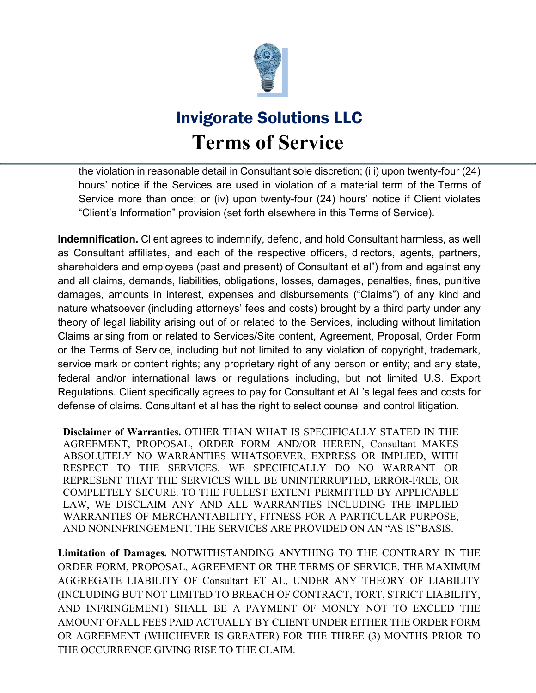

the violation in reasonable detail in Consultant sole discretion; (iii) upon twenty-four (24) hours' notice if the Services are used in violation of a material term of the Terms of Service more than once; or (iv) upon twenty-four (24) hours' notice if Client violates "Client's Information" provision (set forth elsewhere in this Terms of Service).

**Indemnification.** Client agrees to indemnify, defend, and hold Consultant harmless, as well as Consultant affiliates, and each of the respective officers, directors, agents, partners, shareholders and employees (past and present) of Consultant et al") from and against any and all claims, demands, liabilities, obligations, losses, damages, penalties, fines, punitive damages, amounts in interest, expenses and disbursements ("Claims") of any kind and nature whatsoever (including attorneys' fees and costs) brought by a third party under any theory of legal liability arising out of or related to the Services, including without limitation Claims arising from or related to Services/Site content, Agreement, Proposal, Order Form or the Terms of Service, including but not limited to any violation of copyright, trademark, service mark or content rights; any proprietary right of any person or entity; and any state, federal and/or international laws or regulations including, but not limited U.S. Export Regulations. Client specifically agrees to pay for Consultant et AL's legal fees and costs for defense of claims. Consultant et al has the right to select counsel and control litigation.

**Disclaimer of Warranties.** OTHER THAN WHAT IS SPECIFICALLY STATED IN THE AGREEMENT, PROPOSAL, ORDER FORM AND/OR HEREIN, Consultant MAKES ABSOLUTELY NO WARRANTIES WHATSOEVER, EXPRESS OR IMPLIED, WITH RESPECT TO THE SERVICES. WE SPECIFICALLY DO NO WARRANT OR REPRESENT THAT THE SERVICES WILL BE UNINTERRUPTED, ERROR-FREE, OR COMPLETELY SECURE. TO THE FULLEST EXTENT PERMITTED BY APPLICABLE LAW, WE DISCLAIM ANY AND ALL WARRANTIES INCLUDING THE IMPLIED WARRANTIES OF MERCHANTABILITY, FITNESS FOR A PARTICULAR PURPOSE, AND NONINFRINGEMENT. THE SERVICES ARE PROVIDED ON AN "AS IS"BASIS.

**Limitation of Damages.** NOTWITHSTANDING ANYTHING TO THE CONTRARY IN THE ORDER FORM, PROPOSAL, AGREEMENT OR THE TERMS OF SERVICE, THE MAXIMUM AGGREGATE LIABILITY OF Consultant ET AL, UNDER ANY THEORY OF LIABILITY (INCLUDING BUT NOT LIMITED TO BREACH OF CONTRACT, TORT, STRICT LIABILITY, AND INFRINGEMENT) SHALL BE A PAYMENT OF MONEY NOT TO EXCEED THE AMOUNT OFALL FEES PAID ACTUALLY BY CLIENT UNDER EITHER THE ORDER FORM OR AGREEMENT (WHICHEVER IS GREATER) FOR THE THREE (3) MONTHS PRIOR TO THE OCCURRENCE GIVING RISE TO THE CLAIM.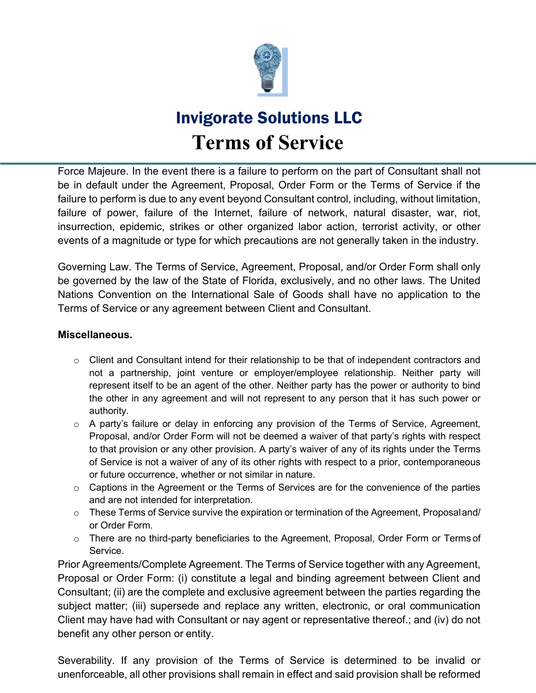

Force Majeure. In the event there is a failure to perform on the part of Consultant shall not be in default under the Agreement, Proposal, Order Form or the Terms of Service if the failure to perform is due to any event beyond Consultant control, including, without limitation, failure of power, failure of the Internet, failure of network, natural disaster, war, riot, insurrection, epidemic, strikes or other organized labor action, terrorist activity, or other events of a magnitude or type for which precautions are not generally taken in the industry.

Governing Law. The Terms of Service, Agreement, Proposal, and/or Order Form shall only be governed by the law of the State of Florida, exclusively, and no other laws. The United Nations Convention on the International Sale of Goods shall have no application to the Terms of Service or any agreement between Client and Consultant.

#### **Miscellaneous.**

- o Client and Consultant intend for their relationship to be that of independent contractors and not a partnership, joint venture or employer/employee relationship. Neither party will represent itself to be an agent of the other. Neither party has the power or authority to bind the other in any agreement and will not represent to any person that it has such power or authority.
- $\circ$  A party's failure or delay in enforcing any provision of the Terms of Service, Agreement, Proposal, and/or Order Form will not be deemed a waiver of that party's rights with respect to that provision or any other provision. A party's waiver of any of its rights under the Terms of Service is not a waiver of any of its other rights with respect to a prior, contemporaneous or future occurrence, whether or not similar in nature.
- $\circ$  Captions in the Agreement or the Terms of Services are for the convenience of the parties and are not intended for interpretation.
- o These Terms of Service survive the expiration or termination of the Agreement, Proposaland/ or Order Form.
- o There are no third-party beneficiaries to the Agreement, Proposal, Order Form or Terms of Service.

Prior Agreements/Complete Agreement. The Terms of Service together with any Agreement, Proposal or Order Form: (i) constitute a legal and binding agreement between Client and Consultant; (ii) are the complete and exclusive agreement between the parties regarding the subject matter; (iii) supersede and replace any written, electronic, or oral communication Client may have had with Consultant or nay agent or representative thereof.; and (iv) do not benefit any other person or entity.

Severability. If any provision of the Terms of Service is determined to be invalid or unenforceable, all other provisions shall remain in effect and said provision shall be reformed